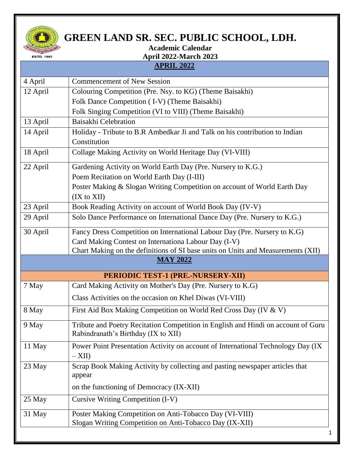

## **GREEN LAND SR. SEC. PUBLIC SCHOOL, LDH.**

## **Academic Calendar April 2022-March 2023**

## **APRIL 2022**

| <b>Commencement of New Session</b><br>Colouring Competition (Pre. Nsy. to KG) (Theme Baisakhi)                           |  |  |  |  |
|--------------------------------------------------------------------------------------------------------------------------|--|--|--|--|
| Folk Dance Competition (I-V) (Theme Baisakhi)                                                                            |  |  |  |  |
| Folk Singing Competition (VI to VIII) (Theme Baisakhi)                                                                   |  |  |  |  |
| Baisakhi Celebration                                                                                                     |  |  |  |  |
| Holiday - Tribute to B.R Ambedkar Ji and Talk on his contribution to Indian                                              |  |  |  |  |
| Constitution                                                                                                             |  |  |  |  |
| Collage Making Activity on World Heritage Day (VI-VIII)                                                                  |  |  |  |  |
| Gardening Activity on World Earth Day (Pre. Nursery to K.G.)                                                             |  |  |  |  |
| Poem Recitation on World Earth Day (I-III)                                                                               |  |  |  |  |
| Poster Making & Slogan Writing Competition on account of World Earth Day<br>(IX to XII)                                  |  |  |  |  |
| Book Reading Activity on account of World Book Day (IV-V)                                                                |  |  |  |  |
| Solo Dance Performance on International Dance Day (Pre. Nursery to K.G.)                                                 |  |  |  |  |
| Fancy Dress Competition on International Labour Day (Pre. Nursery to K.G)                                                |  |  |  |  |
| Card Making Contest on Internationa Labour Day (I-V)                                                                     |  |  |  |  |
| Chart Making on the definitions of SI base units on Units and Measurements (XII)                                         |  |  |  |  |
| <b>MAY 2022</b>                                                                                                          |  |  |  |  |
| PERIODIC TEST-1 (PRE.-NURSERY-XII)                                                                                       |  |  |  |  |
| Card Making Activity on Mother's Day (Pre. Nursery to K.G)                                                               |  |  |  |  |
| Class Activities on the occasion on Khel Diwas (VI-VIII)                                                                 |  |  |  |  |
| First Aid Box Making Competition on World Red Cross Day (IV & V)                                                         |  |  |  |  |
| Tribute and Poetry Recitation Competition in English and Hindi on account of Guru<br>Rabindranath's Birthday (IX to XII) |  |  |  |  |
| Power Point Presentation Activity on account of International Technology Day (IX<br>$-XII$                               |  |  |  |  |
| Scrap Book Making Activity by collecting and pasting newspaper articles that<br>appear                                   |  |  |  |  |
| on the functioning of Democracy (IX-XII)                                                                                 |  |  |  |  |
| Cursive Writing Competition (I-V)                                                                                        |  |  |  |  |
| Poster Making Competition on Anti-Tobacco Day (VI-VIII)                                                                  |  |  |  |  |
|                                                                                                                          |  |  |  |  |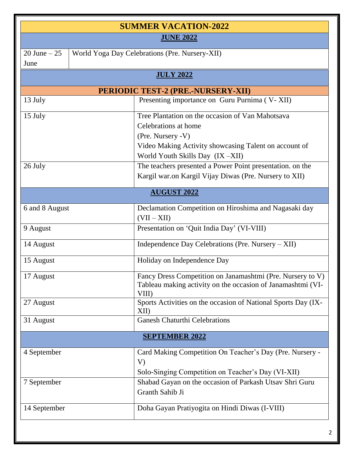| <b>SUMMER VACATION-2022</b> |                                                |                                                                                                                                                        |  |  |  |  |
|-----------------------------|------------------------------------------------|--------------------------------------------------------------------------------------------------------------------------------------------------------|--|--|--|--|
| <b>JUNE 2022</b>            |                                                |                                                                                                                                                        |  |  |  |  |
| $20$ June $-25$<br>June     | World Yoga Day Celebrations (Pre. Nursery-XII) |                                                                                                                                                        |  |  |  |  |
|                             | <b>JULY 2022</b>                               |                                                                                                                                                        |  |  |  |  |
|                             | PERIODIC TEST-2 (PRE.-NURSERY-XII)             |                                                                                                                                                        |  |  |  |  |
| 13 July                     |                                                | Presenting importance on Guru Purnima (V-XII)                                                                                                          |  |  |  |  |
| 15 July                     |                                                | Tree Plantation on the occasion of Van Mahotsava<br>Celebrations at home<br>(Pre. Nursery -V)<br>Video Making Activity showcasing Talent on account of |  |  |  |  |
| 26 July                     |                                                | World Youth Skills Day (IX-XII)<br>The teachers presented a Power Point presentation. on the<br>Kargil war.on Kargil Vijay Diwas (Pre. Nursery to XII) |  |  |  |  |
|                             |                                                | <b>AUGUST 2022</b>                                                                                                                                     |  |  |  |  |
| 6 and 8 August              |                                                | Declamation Competition on Hiroshima and Nagasaki day<br>$(VII - XII)$                                                                                 |  |  |  |  |
| 9 August                    |                                                | Presentation on 'Quit India Day' (VI-VIII)                                                                                                             |  |  |  |  |
| 14 August                   |                                                | Independence Day Celebrations (Pre. Nursery - XII)                                                                                                     |  |  |  |  |
| 15 August                   |                                                | Holiday on Independence Day                                                                                                                            |  |  |  |  |
| 17 August                   |                                                | Fancy Dress Competition on Janamashtmi (Pre. Nursery to V)<br>Tableau making activity on the occasion of Janamashtmi (VI-<br>VIII)                     |  |  |  |  |
| 27 August                   |                                                | Sports Activities on the occasion of National Sports Day (IX-<br>XII                                                                                   |  |  |  |  |
| 31 August                   |                                                | <b>Ganesh Chaturthi Celebrations</b>                                                                                                                   |  |  |  |  |
| <b>SEPTEMBER 2022</b>       |                                                |                                                                                                                                                        |  |  |  |  |
| 4 September                 | V)                                             | Card Making Competition On Teacher's Day (Pre. Nursery -<br>Solo-Singing Competition on Teacher's Day (VI-XII)                                         |  |  |  |  |
| 7 September                 |                                                | Shabad Gayan on the occasion of Parkash Utsav Shri Guru<br>Granth Sahib Ji                                                                             |  |  |  |  |
| 14 September                |                                                | Doha Gayan Pratiyogita on Hindi Diwas (I-VIII)                                                                                                         |  |  |  |  |
|                             |                                                |                                                                                                                                                        |  |  |  |  |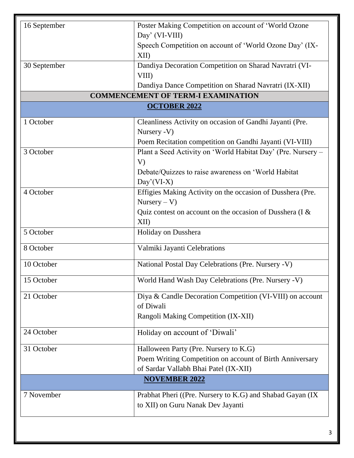| 16 September                              | Poster Making Competition on account of 'World Ozone                      |  |  |  |  |
|-------------------------------------------|---------------------------------------------------------------------------|--|--|--|--|
|                                           | Day' (VI-VIII)<br>Speech Competition on account of 'World Ozone Day' (IX- |  |  |  |  |
|                                           | XII)                                                                      |  |  |  |  |
| 30 September                              | Dandiya Decoration Competition on Sharad Navratri (VI-                    |  |  |  |  |
|                                           | VIII)                                                                     |  |  |  |  |
|                                           | Dandiya Dance Competition on Sharad Navratri (IX-XII)                     |  |  |  |  |
| <b>COMMENCEMENT OF TERM-I EXAMINATION</b> |                                                                           |  |  |  |  |
| <b>OCTOBER 2022</b>                       |                                                                           |  |  |  |  |
| 1 October                                 | Cleanliness Activity on occasion of Gandhi Jayanti (Pre.                  |  |  |  |  |
|                                           | Nursery -V)                                                               |  |  |  |  |
|                                           | Poem Recitation competition on Gandhi Jayanti (VI-VIII)                   |  |  |  |  |
| 3 October                                 | Plant a Seed Activity on 'World Habitat Day' (Pre. Nursery -              |  |  |  |  |
|                                           | V)                                                                        |  |  |  |  |
|                                           | Debate/Quizzes to raise awareness on 'World Habitat                       |  |  |  |  |
|                                           | $Day'(VI-X)$                                                              |  |  |  |  |
| 4 October                                 | Effigies Making Activity on the occasion of Dusshera (Pre.                |  |  |  |  |
|                                           | $Nursery - V)$                                                            |  |  |  |  |
|                                           | Quiz contest on account on the occasion of Dusshera (I &                  |  |  |  |  |
|                                           | XII)                                                                      |  |  |  |  |
| 5 October                                 | Holiday on Dusshera                                                       |  |  |  |  |
| 8 October                                 | Valmiki Jayanti Celebrations                                              |  |  |  |  |
| 10 October                                | National Postal Day Celebrations (Pre. Nursery -V)                        |  |  |  |  |
| 15 October                                | World Hand Wash Day Celebrations (Pre. Nursery -V)                        |  |  |  |  |
| 21 October                                | Diya & Candle Decoration Competition (VI-VIII) on account                 |  |  |  |  |
|                                           | of Diwali                                                                 |  |  |  |  |
|                                           | Rangoli Making Competition (IX-XII)                                       |  |  |  |  |
| 24 October                                | Holiday on account of 'Diwali'                                            |  |  |  |  |
| 31 October                                | Halloween Party (Pre. Nursery to K.G)                                     |  |  |  |  |
|                                           | Poem Writing Competition on account of Birth Anniversary                  |  |  |  |  |
|                                           | of Sardar Vallabh Bhai Patel (IX-XII)                                     |  |  |  |  |
|                                           | <b>NOVEMBER 2022</b>                                                      |  |  |  |  |
| 7 November                                | Prabhat Pheri ((Pre. Nursery to K.G) and Shabad Gayan (IX                 |  |  |  |  |
|                                           | to XII) on Guru Nanak Dev Jayanti                                         |  |  |  |  |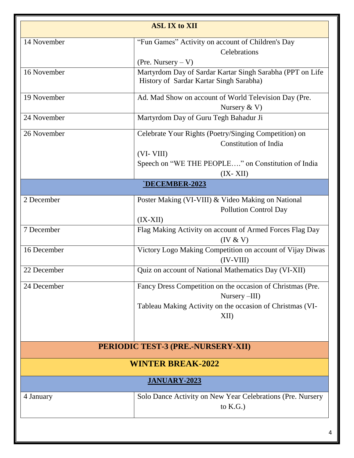| <b>ASL IX to XII</b> |                                                            |  |  |  |
|----------------------|------------------------------------------------------------|--|--|--|
| 14 November          | "Fun Games" Activity on account of Children's Day          |  |  |  |
|                      | Celebrations                                               |  |  |  |
|                      | (Pre. Nursery $-V$ )                                       |  |  |  |
| 16 November          | Martyrdom Day of Sardar Kartar Singh Sarabha (PPT on Life  |  |  |  |
|                      | History of Sardar Kartar Singh Sarabha)                    |  |  |  |
| 19 November          | Ad. Mad Show on account of World Television Day (Pre.      |  |  |  |
|                      | Nursery $& V$                                              |  |  |  |
| 24 November          | Martyrdom Day of Guru Tegh Bahadur Ji                      |  |  |  |
| 26 November          | Celebrate Your Rights (Poetry/Singing Competition) on      |  |  |  |
|                      | <b>Constitution of India</b>                               |  |  |  |
|                      | $(VI-VIII)$                                                |  |  |  |
|                      | Speech on "WE THE PEOPLE" on Constitution of India         |  |  |  |
|                      | $(IX- XII)$                                                |  |  |  |
|                      | `DECEMBER-2023                                             |  |  |  |
| 2 December           | Poster Making (VI-VIII) & Video Making on National         |  |  |  |
|                      | <b>Pollution Control Day</b>                               |  |  |  |
|                      | $(IX-XII)$                                                 |  |  |  |
| 7 December           | Flag Making Activity on account of Armed Forces Flag Day   |  |  |  |
|                      | (IV & V)                                                   |  |  |  |
| 16 December          | Victory Logo Making Competition on account of Vijay Diwas  |  |  |  |
|                      | $(IV-VIII)$                                                |  |  |  |
| 22 December          | Quiz on account of National Mathematics Day (VI-XII)       |  |  |  |
| 24 December          | Fancy Dress Competition on the occasion of Christmas (Pre. |  |  |  |
|                      | Nursery -III)                                              |  |  |  |
|                      | Tableau Making Activity on the occasion of Christmas (VI-  |  |  |  |
|                      | XII)                                                       |  |  |  |
|                      |                                                            |  |  |  |
|                      | PERIODIC TEST-3 (PRE.-NURSERY-XII)                         |  |  |  |
|                      | <b>WINTER BREAK-2022</b>                                   |  |  |  |
| <b>JANUARY-2023</b>  |                                                            |  |  |  |
| 4 January            | Solo Dance Activity on New Year Celebrations (Pre. Nursery |  |  |  |
|                      | to $K.G.$ )                                                |  |  |  |
|                      |                                                            |  |  |  |
|                      | 4                                                          |  |  |  |